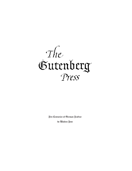

Five Centurie< of German Fraktur

by Walden Font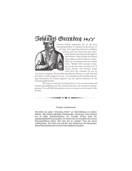## Johanne< Gutenberg 1455

German Fraktur represents one of the most interesting families of typefaces in the history of printing. Few types have had such a turbulent

history, and even fewer have been alternately praised and despised throughout their history. Only recently has Fraktur been rediscovered for what it is: a beautiful way of putting words into written form. Walden Font is proud to present, for the first time, an edition of 18 classic Fraktur and German Script fonts from five centuries for use on

your home computer. This booklet describes the history of each font and provides you with samples for its use. Also included are the standard typesetting instructions for Fraktur ligatures and the special characters of the Gutenberg Bibelschrift.

We hope you find the Gutenberg Press to be an entertaining and educational publishing tool. We certainly welcome your comments and suggestions. You will find information on how to contact us at the end of this booklet.

Verehrter Frakturfreund!

Wir hoffen mit unserer ""Gutenberg Presse" zur Wiederbelebung der Fraktur= schriften - ohne jedweden politis#en Nebengedanken - beizutragen. Leider verbieten uns die hohen Produktionskolten eine Deutsche Bersion dieses Be= nußerhandbüchleins herauszugeben, Sie werden aber den Deutschen Zext auf den Programmdiffetten finden. Bitte lesen Sie die "liefmich"" Datei für weitere Informationen. Wir freuen un< auch über Ihre Kommentare und Anregungen. Kontaktinformationen find am Ende diefes Büchleins angegeben.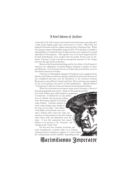#### 21 brief hiftory of Fraktur

At the end of the 15th century, most Latin books in Germany were printed in a dark, barely legible gothic type style known as *Textura*. What little was printed in German used the rougher and more base Schwabacher type. When the German emperor Maximilian (reigned 1493-1519) decided to establish a splendid library of printed books, he directed that a new typeface be created especially for this purpose. This typeface was to be more elegant than the boorish Schwabacher, more modern than the gothic Textura and yet distinctly "German" in that it should not incorporate elements of the *Antiqua* that were the rage in Italy at that time.

Based on the *Bastarda* handwriting used by the scribes of the Emperor's chancery, the calligrapher Leonhard Wagner designed a typeface to these specifications. It soon became known as Fraktur (pronounced frac-toor) for the broken character of its lines.

Only four of Maximilian's planned 130 editions were completed in his lifetime, and Fraktur would have quickly vanished, but the books that were in fact completed had been sent for illustration to the foremost German Renaissance artists, Dürer, Cranach and Grün. These artists became inspired by the novel typeface and used it in their publications. Albrecht Dürer's "Unterweysung" is still one of the most famous books printed in Fraktur.

When the reformation movement swept across Germany, a flood of printed propaganda came with it. Much of this material used the

new, fresh Fraktur type, which helped to popularize GREGGIA CH it extensively. It allowed for an easy distinction of catholic and protestant publications: Protestants printed in German, using Fraktur; Catholics printed in Latin, using Antiqua types similar to *<u>andlighed</u>* the ones we use today. One edition of the Bible even had each verse start with a Fraktur letter when the topic was salvation or other positive events, but Antiqua when Satan, hell, and damnation were the topic. It was this separation that caused Fraktur to be known as the "German" and Antiqua as the "Latin" font.

For the next five centuries, Germany and many Scandinavian countries held on to Fraktur, swaying between unanimous support of it and cursing the "anachronistic monk's scribbles" depending on the

## Maximilianu< Imperator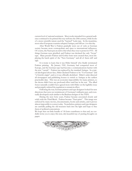current level of national sentiment. Most works intended for a general audience continued to be printed this way well into the 20th century, while books of a more scientific nature used the "learned" Latin type. In the meantime, most other European countries adopted Antiqua, and still use it to this day.

After World War I, Fraktur gradually went out of style as German society became more cosmopolitan and open to international influences. Of course, the Nazis put an end to that when they rose to power in 1933. All things German were glorified, and Fraktur was declared the only "Aryan" type. Many pseudo-Fraktur and Gothic fonts were created then, most displaying the harsh spirit of the "New Germany" and all of them stiff and ugly.

It is ironic to learn that it was Hitler himself who finally terminated Fraktur printing. By January 1941, Germany had conquered most of Europe, and the German type had become a communications barrier with the new "vassals". Fraktur was replaced by the standard Antiqua. In a typical ideological about-face, Hitler declared Fraktur to be "Un-German" and "of Jewish origin", and so it was officially abolished. Hitler's order directed all newspapers and publishing houses to switch to Antiqua at the earliest practicable date. This was an economic impossibility for many printers, so the decree didn't have any profound effect until late in the war. The allied forces naturally couldn't have agreed more with Hitler on the legibility issue and promptly ordered the regulation to remain in effect.

Following the war, German printers and type designers looked for new directions that were not reminiscent of Germany's militarist past, and eventually developed a style similar to the Bauhaus designs of the 1920's.

During the next forty years, Fraktur became associated closely and solely with the Third Reich. Fraktur became "Nazi-print". This image was enforced by many movies, documentaries, books and articles, and it proves almost impossible to correct today. Nonetheless, printers and type designers are carefully pulling the old treasures back into the light and hope to free them of political connotations.

We hope that our little bundle of 18 fonts contributes to that end, we cordially invite you to enjoy this new, old, beautiful way of putting thoughts on paper.

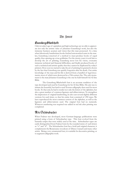#### The Font<

#### **Lutenberg Bibellchrift**

Only in today's age of capitalism and high technology are we able to appreciate not only the artistic value of Johannes Gutenberg's work, but also the immense business acumen and vision that this man possessed. At a time when laboriously handwritten books fetched astronomical sums in the market, Gutenberg conceived of a method to mass-produce books of equal quality, thus opening up a true goldmine. For the twenty years it took him to develop the art of printing, Gutenberg never lost his vision, overcame immense technical and financial difficulties, and finally produced books of such a technical and artistic quality that they cannot be duplicated by today's printers. How soon we started to take the art of printing for granted is shown by the fact that Gutenberg was quickly forgotten after his death. Our entire knowledge of the man and his life is derived from a handful of legal documents, most of which were destroyed in a 19th century fire. The only monument to the man Johannes Gutenberg is the one he built himself: his 42-line Bible.

The Gutenberg Bibelschrift font is an accurate rendition of the type developed and used by Gutenberg for his 42-line Bible. His aim was to imitate the beautiful, but hard to read Textura calligraphy then used for most books. To that end, he had to render not only the letters of the alphabet, but also a great number of common ligatures and abbreviations. To strengthen the impression of original handwriting, he also cast several slightly different versions for each letter, so that his entire font consisted of 290 types. We have reproduced the most common version of the alphabet, as well as the ligatures and abbreviations used. The original font had no numerals. Whatever numbering was required was added in red ink after printing was completed.

#### Alte Schwabacher

When Fraktur was developed, most German-language publications were printed using a form of Schwabacher type. This font evolved from the bastarda scripts that were widely used at the time. Schwabacher types are easily distinguished from Fraktur fonts by the rounded stems of such letters as "o" and "d". The Schwabacher font has a bold and original character, it complements the Renaissance woodcuts of Dürer, Cranach and many other artists. Being a very ornamental font, it is suitable for decorative printing, or to augment calligraphic work.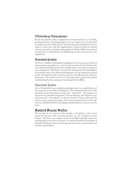#### Wittenberg Schwabacher

By the time Martin Luther completed his German translation of the Bible, printing had been a flourishing industry for over eighty years. It is therefore no surprise that the *"Biblia Deutsch"* found fertile ground; hundreds of thousands of copies were sold, the original printer could not satisfy the demand and a good number of pirated copies appeared. All these Bibles were printed in some form of Schwabacher; our Wittenberg version comes closest to the original font.

#### Gebetbuch Fraktur

The first of Emperor Maximilian's magnificent books was a prayer book, 10 copies printed on parchment. It was for this book that the first Fraktur font was commissioned because all other available types were either too common or too antiquated. This Fraktur was based on drawings by Leonhard Wagner. The punches were cut by Johann Schönsperger, who also printed the prayer books. The finished copies were then given to noted Renaissance artists for illustration. The result were books of such high artistic quality and excellent workmanship that they stand up to Gutenberg's 42-line Bibles.

#### Theuerdank Fraktur

One of Maximilian's most ambitious printing projects was a glorification of his voyage west to wed Mary of Burgundy. The romanticized account of this adventure was lavishly layed out in the epic *'Theuerdank''*. The typeface for this book was probably designed by Vinzenz Rockner, the Emperor's personal secretary. Theuerdank is an almost "modern" Fraktur and forms the base for many subsequent designs. Note that the printed letters of the original were embellished further by adding ornamental lines in various colors by hand.

#### Coelnisch Aucrent Fraktur

The founder of the famous Luther foundry in Frankfurt is said to have started his business with borrowed punches for the Coelnisch Current Fraktur. This font is an excellent choice for headlines and titles and is best used sparingly at sizes above 30 points. It works well with the Theuerdank or Gebetbuch Fraktur as text fonts, but also provides a nice contrast when used with the Luther Fraktur.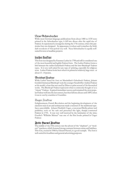#### Neue Schwabacher

While most German-language publications from about 1480 to 1530 were printed in the Schwabacher type, it fell into disuse after the rapid rise of Fraktur. It experienced a resurgence during the 17th century, when this particular font was designed. Its appearance is robust and it matches the bold, dark woodcuts of that period very well. Neue Schwabacher is equally wellsuited for text or headline projects.

#### Luther Fraktur

This font was designed by Erasmus Luther in 1708 and still is considered one of the most beautiful and legible Fraktur fonts. The Luther Fraktur forms a link between the earlier Gebetbuch Fraktur and the later Breitkopf Fraktur types. It is very well-suited for any type of printing, especially for religious texts. Luther Fraktur looks best when it is printed at relatively large sizes: at about 13 - 14 points.

#### Breitkopf Fraktur

While Luther based his font on Maximilian's Gebetbuch Fraktur, Johann Gottlieb Immanuel Breitkopf took the younger Neudörffer-Andreä Fraktur as his model, a font that was used by Dürer to print several of his theoretical works. The Breitkopf Fraktur represents what is commonly thought of as a "classic" Fraktur. It gained immediate success and remained the most popular Fraktur well into the last century, but then fell into disuse until 1899, when it was re-cast by a number of foundries.

#### Unger Fraktur

Enlightenment, French Revolution and the beginning development of the classicist style in art and architecture made a renewal of the traditional typefaces unavoidable. Johann Friedrich Unger, a renowned Berlin printer and publisher, took on the task and presented this light, sharply-contrasted Fraktur in 1793. It was very well received by the luminaries of the time; Goethe's "Wilhelm Meister" was one of the first books printed in Unger Fraktur.

#### Fette Haenel Fraktur

The middle of the 19th century saw the advent of the "elephant", or "modern" typefaces, which featured strong contrasts between stems and hairlines. This font, created in 1846 by Eduard Haenel, is a good example. The font is well-suited for headlines and general advertising purposes.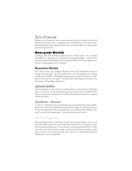## PeterSchlemihl

Adalbert von Chamisso's story about a man who sells his shadow to the devil inspired this curious font - a graceful type surrounded by a fine shadow line. Peter Schlemihl is a graceful font that is best used in headlines, but also makes an interesting text font.

#### Ganz grobe Gotifch

Looking at this font will best explain the name "black letter". It is possibly the blackest of all types, yet it maintains an amazing legibility. Ganz Grobe Gotisch is especially effective in advertising, headlines and other applications where a "strong impression" is desired.

#### Maxímílían Gotífch

The 19th century type designer Rudolf Koch drew inspiration from his strong Christian faith. He devoted his life to the development of a fitting typeface for the Bible. Maximilian, appropriately named for Fraktur's originator, comes close to this goal. Its broad and noble impression makes it an ideal choice for headlines and quotes.

#### Zentenar Fraktur

Zentenar Fraktur could easily be considered the most beautiful of all Fraktur types. It was one of the last Fraktur fonts produced before World War II, and as such presents the pinnacle of Fraktur development before it was taken over by the Nazis..

#### OproBoorthur Linnennd

A stack of old family letters yielded this personal handwriting. My grandfather wrote a clear, yet traditional script, and we thought we'd make a fun font for personal and informal correspondence. Your friends will probably curse you if you use it for longer letters - it tends to be hard on the eyes!

Burrant Dugfarftief

Kurrent Kupferstich is a rendition of the Old German Script as it was used from the 18th century on in most official documents. If you happen to trace your German family roots, or have letters or documents from before 1900, you will want to use this font to help you learn the old German script: simply type some text in any ordinary font, then convert it to Kurrent Kupferstich and practice your reading skills.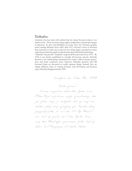#### Ourshirlin

Anybody who has tried, will confirm that the classic Kurrent script is very hard to write. There are many sharp angles, straight lines and abrupt changes in direction. To give schoolchildren an easier start, the Viennese graphic artist Ludwig Sütterlin (born 1865, died 1917) devised a form of Kurrent that consisted of wide curves and very few sharp angles, intended as a basic script from which the pupils would develop their individual handwriting. "Sütterlin" became the "standard" script in all Prussian schools in 1915. By 1934, it was firmly established in virtually all German schools. Sütterlin

Kurrent is the handwriting remembered by today's older German generation, and much confusion exists whenever Sütterlin, Kurrent and Old German Script are discussed as totally separate things. Instead, they are simply different styles of writing German. Like all Fraktur and Kurrent types, Sütterlin disappeared after 1941.

Frankfurt, den 14ten Mai 1886 Linbflu finnsa! D>eine >reizend>en >liebev>ollen Zeilen >v>om 28tun Azvil avfordann vafifu frisidarning, dun fin fabun micf fo untzückt, daß sief micf am >lieb|en >gleich >nach Empfang zur Beantw>ortung -fingufulzl fällu; va nd abux 11 2lfx Abund d >war >und >ich >grad>e >au>< >dem Theater >kam, noch bein Abendefen genommen fatte, ließ ich linbar IaS Dargungan bis fanta blaiban.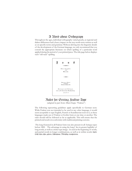#### A Word about Orthograpy

Throughout the ages, individual orthography varied greatly, as regional and dialect differences had a heavy impact on the way words were written as well as on specific terms and grammar. Without delving into the linguistic details of the development of the German language, we only recommend that you consult the appropriate literature on which spelling of a particular word applied during the period of your printed piece. The title page below displays such "old-style" spelling.



## Rule< for Setting Fraktur Type

(adapted in part from Albert Kapr, "Fraktur")

The following typesetting guidelines apply specifically to German texts. While Fraktur was not intended to be used in any other language, it would seem acceptable to type English, French or Scandinavian texts in it, as these languages made use of Fraktur or Gothic fonts at one time or another. The rules should still be followed as far as applicable. This will ensure that the printed end result is in conformity with traditional printing customs.

The long featured in all Fraktur fonts was also present in all Antiqua types before 1800. The advantage in using the long  $\int$  lies in greater legibility of long words, as well as a richer type image. is used at the beginning of words, and partial words in longer combinations, as well as in within words: fagen, s s s Erbse, lesen, essen, gestern, Höhensonne, Mikroskop, transpirieren.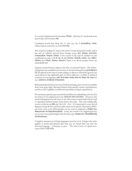If a word is hyphenated, the fremains: Wef-fer. Likewise, if a word ends in an apostrophe, the fremains: laff'.

Combined words that drop the 'e' also use the f: Bermechflung, erlefne. Abbreviations retain the fas well: Berf. Sef.

The round or ending  $\mathfrak s$  is used at the end of words and partial words, and at the end of syllables derived from foreign terms: dies, häschen, austrinten, Ordnungeliebe, Diepene, Jechiae. A also occurs at the end of syllables in rare combinations such as  $\delta \delta$ ,  $\delta f$ ,  $\delta m$ ,  $\delta n$ ,  $\delta m$ : Dresden, Arabeste, ristant, (but obftur), Mostau (but Minst), Wismut, Klausner. There is no se; the proper forms are either [6, 6], [[ or ß

Ligatures (joined letters) improve the flow of printed Fraktur. The following ligatures are available in most fonts of the Gutenberg Press:  $\phi$  ď ff fififi fifi ß ft  $\beta$ .  $\beta$  is placed at the end of words ending, or about to end in  $\beta$ . Ligatures are used whenever the applicable pair of letters falls into a syllable. Combined words do not use ligatures: død), Nud, bøffen, verfilzt, flacb, øft, Baffer, Uft, Ratse but not auffordern, Schilfinsel, Schnupftuch.

Bold and Italicized fonts are rare in Fraktur printing, and even those available don't look quite right. Skewing Fraktur electronically creates unsatisfactory results as well. Legibility considerations prohibit setting in capital letters.

For centuries, printers got around this problem by capitalizing only the first two letters of an emphasized word: 3ch bin der 50 Err, dein ODtt. However, this method disappeared at the close of the 18th century and should only be used to reproduce printed matter from before that time. The only traditionally correct solutions are bold and  $\int \mathfrak{p} \mathfrak{r} \mathfrak{e} \mathfrak{a} \mathfrak{d} \mathfrak{r} \mathfrak{e} \mathfrak{g} \mathfrak{t}$ . It is important to note that all ligatures except  $\mathfrak{c}\mathfrak{h}$ ,  $\mathfrak{c}\mathfrak{f}$ ,  $\mathfrak{t}\mathfrak{z}$ , and  $\mathfrak{f}$  are split when text is spread. Alternately, different fonts such as the Schwabacher can be used to emphasize: Beispiel einer Schwabacher als 2lufzeichnungsfchrift. Lastly, the words to be emphasized may be set one or two points larger than the base type: Beißpiel einer  $\mathfrak{Pergr\ddot{\mathfrak{g}}}$ erung als Aufzeichnung.

Complete sentences in foreign languages must be set in Antiqua; the same applies to words and phrases that have not yet found their way into the German language: va banque, en gros. The same is true of capital acronyms: CDU, FDP, SPD.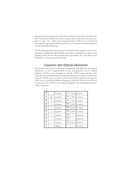Several fonts do not feature certain letters because they were not used at the time: Gebetbuch Fraktur was used to print Latin, it therefore does not contain "u" and "w". Many fonts designed before 1900 have no J. We have provided the appropriate characters for ease of use, but the purists among us should refrain from their use.

The handwriting fonts demand special attention with regards to the correct spacing of individual letters. While some letter combinations require extra spacing; others do not. We therefore have provided a free joint that can be used where extra spacing is appropriate.

#### Ligature< and Special Character<

To provide easy access to the most commonly used ligatures and special characters, we have assigned them to keys not generally used in Fraktur printing. Umlauts were assigned to specific ANSI codes, because they correspond to particular keys on a German keyboard. To produce characters using the ANSI code, you need to press and hold the ALT key and type the code on the number pad while continuing to hold the ALT key down. When you let go of the ALT key, the character appears. The following chart provides a reference.

|    |               | ff ligature | ä  | 0228             | a-umlaut    |  |
|----|---------------|-------------|----|------------------|-------------|--|
| ₿  | @             | tz ligature | Ö  | 0246<br>o-umlaut |             |  |
| cb | #             | ch ligature | ü  | 0252             | u-umlaut    |  |
| cŧ | \$            | ck ligature | Ä  | 0196             | A-umlaut    |  |
|    | $\frac{0}{0}$ | ss ligature | Ö  | 0214             | O-umlaut    |  |
| fl | {             | fl ligature | Ü  | 0220             | U-umlaut    |  |
| ١Ì | ∤             | si ligature | fl |                  | fi ligature |  |
|    |               | sf ligature | ſt |                  | st ligature |  |
| ft |               | ft ligature | ß  | 0223             | double s    |  |
| B  | $\,<\,$       | ending s    |    | >                | free joint  |  |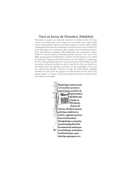#### Notes on letting the Gutenberg Bibellehrift

Parchment or paper was extremely expensive in medieval times. For that reason it was important to fit as much text as possible onto a page. Early scribes thus developed ligatures and abbreviations to conserve space. While writing material became more abundant towards the close of the Gothic Era, these techniques were maintained, thus making room for elaborate decorations and miniature paintings called *illuminations* that continued to adorn books for several centuries. Gutenberg printed only the "raw" text of his Bible, leaving space for initial letters, numbers and decorations, to be added by hand later. Ligatures and abbreviations were also helpful in maintaining the two evenly justified columns of text featured in the 42-line Bible. In order to produce authentic-looking text and to control text flow, you should use the abbreviations and ligatures provided. Use them sparingly, or else your text will become illegible. Curiously enough, the abbreviations originally intended for Latin texts also appear in certain German books, where they appear totally out of place. You should employ these devices only for Latin texts. Here is an example:

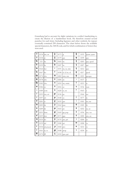Gutenberg had to account for slight variations in a scribe's handwriting to create the illusion of a handwritten book. He therefore created several punches for each letter. Including ligatures and other symbols, his typeset eventually contained 290 characters. The chart below shows the available special characters, the ASCII code, and for which combination of letters they were used.

| $\overline{\mathfrak{a}}$                         | 0134 | am, an         | ŷ                             | 0175 | gi              | $\ddot{\mathfrak{g}}$     | 0195 | quam, quan   |
|---------------------------------------------------|------|----------------|-------------------------------|------|-----------------|---------------------------|------|--------------|
| $\ddot{\hat{\mathfrak{a}}}$                       | 0138 | ar             | ij                            | 0179 | gra             | $\boldsymbol{\vartheta}$  | 0199 | que          |
| ta                                                | 153  | bа             | łд                            | 0183 | ha              | q                         | 0203 | que, quod    |
| $\mathbf{r}$                                      | 0159 | be             | ţç                            | 0187 | he              | ĝ                         | 0207 | qui          |
| la                                                | 0164 | bet            | î                             | 0191 | im, in, min     | $\hat{\mathfrak{q}}$      | 0212 | quo          |
| lv                                                | 0167 | bo             | f                             | 0198 | el, il, les, ul | $\phi$                    | 0217 | quod         |
| фı                                                | 0174 | cha            | m                             | 0202 | mm, mn          | $\frac{1}{9}$             | 0221 | quoque       |
| the                                               | 0178 | che            | $\ddot{\tilde{\mathfrak{u}}}$ | 0206 | an              | $\ddot{\mathbf{z}}$       | 0137 | $\mathbf r$  |
| ф                                                 | 0182 | cho            | ñ                             | 0210 | nn, omin        | $\overline{\mathrm{r}}$   | 0215 | re           |
| m                                                 | 0186 | $\rm{co}$      | ã                             | 0216 | ao              | Ķ                         | 0156 | rum          |
| $\mathfrak d$                                     | 0189 | com            | $\tilde{\mathfrak{g}}$        | 0220 | io, on          | $\overline{\mathfrak{f}}$ | 0163 | $\mathbf{s}$ |
| $\tilde{\mathfrak{r}}$                            | 0193 | cra, cri       | pı                            | 0136 | pa              |                           | 0166 | ser          |
| $\ddot{\text{r}}$                                 | 0197 | cri            | p                             | 0140 | oe              | $\overline{t}$            | 0177 | ta           |
| đ                                                 | 0201 | ct             | į                             | 0155 | per             | $\mathfrak{\dot{t}}$      | 0181 | ter, tur     |
| d                                                 | 0205 | da             | P                             | 0162 | præ             | th                        | 0185 | th           |
| ď                                                 | 0209 | de             | p                             | 0165 | po              | $\ddot{\mathbf{u}}$       | 0252 | ua, ue       |
| $\dot{\vec{u}}$                                   | 0215 | dem            | P                             | 0169 | pp, pop         | ū                         | 0196 | uer, ver     |
| ù                                                 | 0219 | den            | $\mathbf{\mathfrak{m}}$       | 0171 | ppe             | ũ                         | 0200 | um, un       |
| w                                                 | 0135 | d <sub>O</sub> | P                             | 0176 | pre, pri        | 3                         | 0204 | us           |
| ń                                                 | 0139 | nd             | þ                             | 0180 | pri             | m                         | 0208 | va           |
| $\overline{\mathbf{f}}$                           | 0154 | em, en, est    | P                             | 0184 | pro             | w                         | 0214 | ve           |
| $\stackrel{\scriptscriptstyle\ast}{\mathfrak{k}}$ | 0161 | er, re         | æ                             | 0188 | prop            | $\ddagger$                | 0218 | et           |
| ${\rm ff}$                                        | 0170 | ffl            | ij                            | 0192 | qua, qui        |                           |      |              |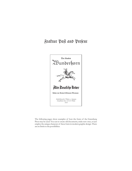## Fraktur Past and Present



The following pages show examples of how the fonts of the Gutenberg Press may be used. You can re-create old documents, make new ones, or just employ the unique character of these fonts in modern graphic design. There are no limits to the possibilities.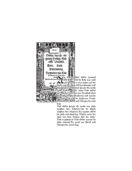

Tatt.

Und GOtt sprach: Es werde eine Seste zwischen den Wassern/die da scheide zwischen den Wassern/Da machte GOtt die Seste und schied das Wasser unter der Seste von dem Wasser über der Seste/ Vnd es tteschab so/Vnd GOtt nannte die Sefte Zummel/Da ward aus 20end und Mortten der zweite Tatt.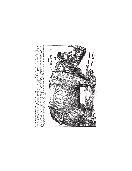$\mathcal{L} \mathcal{T} \alpha$ ch Ochi $\mathrm{H} \mathcal{T} \beta$  (1975),  $\mathcal{T} \beta$  ( $\alpha$  2011),  $\mathcal{L} \mathcal{T} \beta$  ( $\alpha$  and  $\alpha$  and  $\alpha$  and  $\alpha$  and  $\alpha$  and  $\alpha$  and  $\alpha$  and  $\alpha$  and  $\alpha$  and  $\alpha$  and  $\alpha$  and  $\alpha$  and  $\alpha$  and  $\alpha$  and  $\alpha$  and βαβετο/ und if von beten βαλει ukenter βαν felt/und ift in der grös de ber ζαήξιπον/ aber mornister von kaynen und βαν webstaffing is kar ein<br>βαατήΓιανε ζώτη vorn auff der Ltaffin/ das begundt es 31 weben wo es bey Steyne am banch anfir und er würget ihn/ des mag er fich nicht erwehren. Dam das Eher ift alfe gewapnet das ihm der Jeilfärnde nichts thun tann/ Sie fagen auch/ bas ber Ykjmoerns/Schnell/frayeig/ unb auch Luftig/fey.

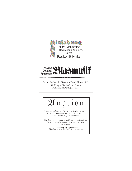



Your Authentic German Band Since 1962 Weddings - Oktoberfests - Events Baltimore, MD (410) 555-5555

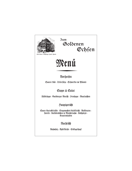

 $\mathfrak{Zum}$ Goldenen Ochsen

4 Boxfingen Inh E. Frafch

# Menű

#### Vorspeisen

Saurer Rås : Tellersülze : Schnecken im Pfännle

#### Suppe & Salat

Flädlesuppe Baisburger Marsch Dirnsuppe Maultaschen

#### Sauptgericht

Saure Kartoffelrädle : Eingemachtes Kalbfleisch : Rostbraten : Korelle : Kalbslendchen in Morchelrahm : Käsivätzle : Krautrouladen

#### Nachtisch

Rabmsulz : Apfelfüchle : Eisfugelbupf